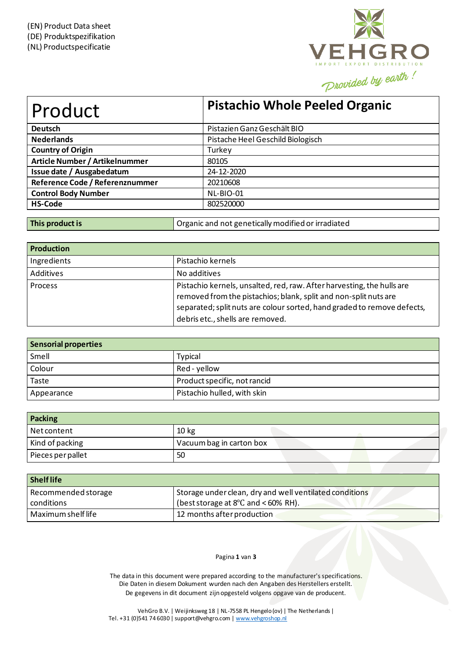

| Product                         | <b>Pistachio Whole Peeled Organic</b> |
|---------------------------------|---------------------------------------|
| <b>Deutsch</b>                  | Pistazien Ganz Geschält BIO           |
| <b>Nederlands</b>               | Pistache Heel Geschild Biologisch     |
| <b>Country of Origin</b>        | Turkey                                |
| Article Number / Artikelnummer  | 80105                                 |
| Issue date / Ausgabedatum       | 24-12-2020                            |
| Reference Code / Referenznummer | 20210608                              |
| <b>Control Body Number</b>      | NL-BIO-01                             |
| <b>HS-Code</b>                  | 802520000                             |

| <b>Production</b> |                                                                                                                                                                                                                                                           |
|-------------------|-----------------------------------------------------------------------------------------------------------------------------------------------------------------------------------------------------------------------------------------------------------|
| Ingredients       | Pistachio kernels                                                                                                                                                                                                                                         |
| Additives         | No additives                                                                                                                                                                                                                                              |
| <b>Process</b>    | Pistachio kernels, unsalted, red, raw. After harvesting, the hulls are<br>removed from the pistachios; blank, split and non-split nuts are<br>separated; split nuts are colour sorted, hand graded to remove defects,<br>debris etc., shells are removed. |

**This product is COVIDED IN COVIDENT** Organic and not genetically modified or irradiated

| <b>Sensorial properties</b> |                              |
|-----------------------------|------------------------------|
| Smell                       | <b>Typical</b>               |
| Colour                      | Red - yellow                 |
| Taste                       | Product specific, not rancid |
| Appearance                  | Pistachio hulled, with skin  |

| Packing           |                          |  |
|-------------------|--------------------------|--|
| Net content       | 10 <sub>kg</sub>         |  |
| Kind of packing   | Vacuum bag in carton box |  |
| Pieces per pallet | 50                       |  |

| <b>Shelflife</b>    |                                                         |
|---------------------|---------------------------------------------------------|
| Recommended storage | Storage under clean, dry and well ventilated conditions |
| conditions          | (best storage at $8^{\circ}$ C and < 60% RH).           |
| Maximum shelf life  | 12 months after production                              |

## Pagina **1** van **3**

The data in this document were prepared according to the manufacturer's specifications. Die Daten in diesem Dokument wurden nach den Angaben des Herstellers erstellt. De gegevens in dit document zijn opgesteld volgens opgave van de producent.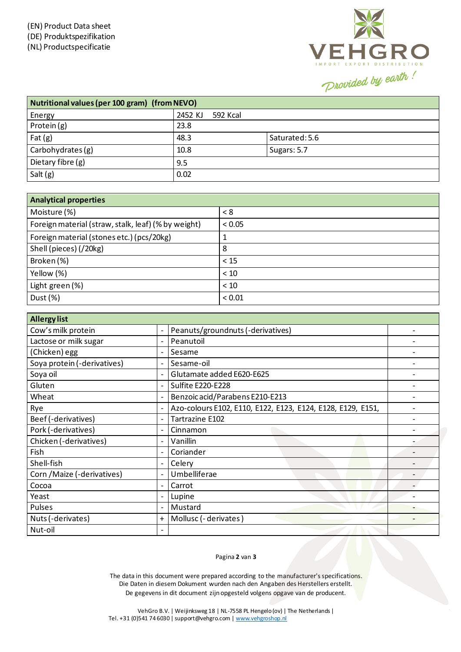

| Nutritional values (per 100 gram) (from NEVO) |                     |                |  |
|-----------------------------------------------|---------------------|----------------|--|
| Energy                                        | 2452 KJ<br>592 Kcal |                |  |
| Protein (g)                                   | 23.8                |                |  |
| Fat $(g)$                                     | 48.3                | Saturated: 5.6 |  |
| Carbohydrates (g)                             | 10.8                | Sugars: 5.7    |  |
| Dietary fibre (g)                             | 9.5                 |                |  |
| Salt $(g)$                                    | 0.02                |                |  |

| <b>Analytical properties</b>                        |        |  |
|-----------------------------------------------------|--------|--|
| Moisture (%)                                        | < 8    |  |
| Foreign material (straw, stalk, leaf) (% by weight) | < 0.05 |  |
| Foreign material (stones etc.) (pcs/20kg)           |        |  |
| Shell (pieces) (/20kg)                              | 8      |  |
| Broken (%)                                          | < 15   |  |
| Yellow (%)                                          | < 10   |  |
| Light green (%)                                     | < 10   |  |
| Dust $(\%)$                                         | < 0.01 |  |

| <b>Allergy list</b>         |                              |                                                             |  |
|-----------------------------|------------------------------|-------------------------------------------------------------|--|
| Cow's milk protein          | $\overline{\phantom{a}}$     | Peanuts/groundnuts (-derivatives)                           |  |
| Lactose or milk sugar       | $\overline{\phantom{a}}$     | Peanutoil                                                   |  |
| (Chicken) egg               | $\overline{\phantom{a}}$     | Sesame                                                      |  |
| Soya protein (-derivatives) | $\overline{\phantom{0}}$     | Sesame-oil                                                  |  |
| Soya oil                    | $\overline{\phantom{a}}$     | Glutamate added E620-E625                                   |  |
| Gluten                      | $\overline{\phantom{a}}$     | Sulfite E220-E228                                           |  |
| Wheat                       | $\overline{\phantom{a}}$     | Benzoic acid/Parabens E210-E213                             |  |
| Rye                         |                              | Azo-colours E102, E110, E122, E123, E124, E128, E129, E151, |  |
| Beef (-derivatives)         | $\overline{\phantom{0}}$     | Tartrazine E102                                             |  |
| Pork (-derivatives)         | $\qquad \qquad \blacksquare$ | Cinnamon                                                    |  |
| Chicken (-derivatives)      | $\overline{\phantom{a}}$     | Vanillin                                                    |  |
| Fish                        | $\overline{\phantom{a}}$     | Coriander                                                   |  |
| Shell-fish                  | $\overline{\phantom{a}}$     | Celery                                                      |  |
| Corn / Maize (-derivatives) | $\overline{\phantom{a}}$     | Umbelliferae                                                |  |
| Cocoa                       | $\overline{a}$               | Carrot                                                      |  |
| Yeast                       | $\overline{\phantom{a}}$     | Lupine                                                      |  |
| Pulses                      | $\overline{\phantom{a}}$     | Mustard                                                     |  |
| Nuts (-derivates)           | $\ddot{}$                    | Mollusc (- derivates)                                       |  |
| Nut-oil                     |                              |                                                             |  |

## Pagina **2** van **3**

The data in this document were prepared according to the manufacturer's specifications. Die Daten in diesem Dokument wurden nach den Angaben des Herstellers erstellt. De gegevens in dit document zijn opgesteld volgens opgave van de producent.